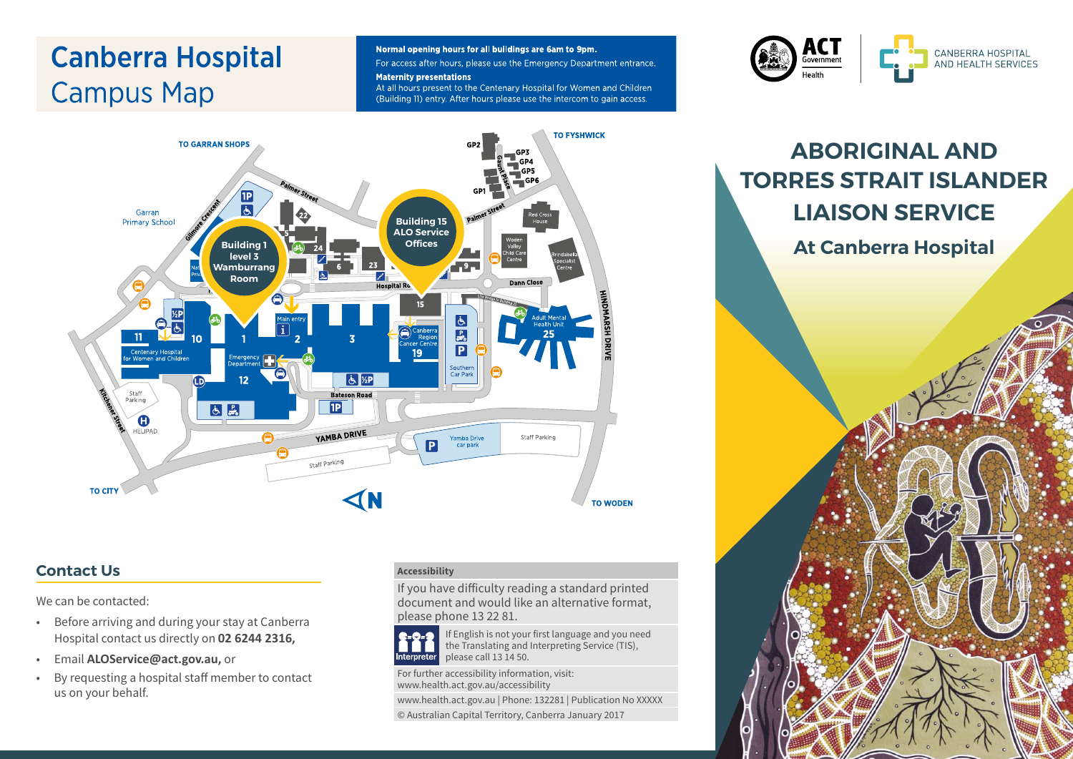# **Canberra Hospital Campus Map**

#### Normal opening hours for all buildings are 6am to 9pm.

For access after hours, please use the Emergency Department entrance. **Maternity presentations** 

At all hours present to the Centenary Hospital for Women and Children (Building 11) entry. After hours please use the intercom to gain access.

**TO EYSHWICK** 



#### **TO GARRAN SHOPS** 1P Garran **Building 15 Primary Schoo ALO Service Building level 3 Wamburrang**   $-9-$ Z **Room Hospital R** ځ **P**<br>P  $11$ 19 Southern<br>Car Park  $51/2P$ Staff<br>Parking **Bateson Road**  $\boxed{1}$ **6**  $\bullet$ **HELIPAD** YAMBA DRIVE Θ Yamba Drive<br>car park Staff Parking P Staff Parking **TO CITY TO WODEN**

#### **Contact Us**

We can be contacted:

- Before arriving and during your stay at Canberra Hospital contact us directly on **02 6244 2316,**
- Email **[ALOService@act.gov.au](mailto:ALOService@act.gov.au),** or
- By requesting a hospital staff member to contact us on your behalf.

#### **Accessibility**

If you have difficulty reading a standard printed document and would like an alternative format, please phone 13 22 81.



If English is not your first language and you need the Translating and Interpreting Service (TIS), please call 13 14 50.

For further accessibility information, visit: www.health.act.gov.au/accessibility

www.health.act.gov.au | Phone: 132281 | Publication No XXXXX

© Australian Capital Territory, Canberra January 2017

## **ABORIGINAL AND TORRES STRAIT ISLANDER LIAISON SERVICE**

**At Canberra Hospital**